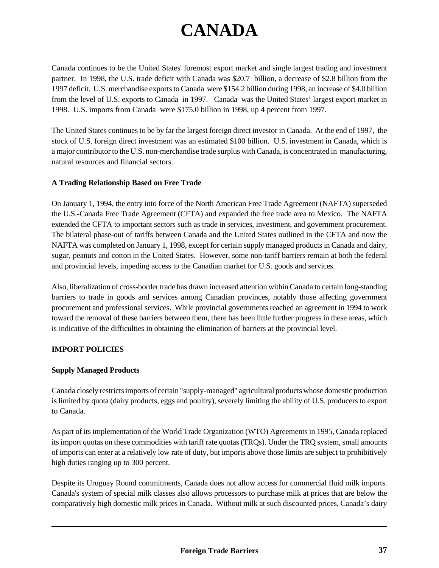# **CANADA**

Canada continues to be the United States' foremost export market and single largest trading and investment partner. In 1998, the U.S. trade deficit with Canada was \$20.7 billion, a decrease of \$2.8 billion from the 1997 deficit. U.S. merchandise exports to Canada were \$154.2 billion during 1998, an increase of \$4.0 billion from the level of U.S. exports to Canada in 1997. Canada was the United States' largest export market in 1998. U.S. imports from Canada were \$175.0 billion in 1998, up 4 percent from 1997.

The United States continues to be by far the largest foreign direct investor in Canada. At the end of 1997, the stock of U.S. foreign direct investment was an estimated \$100 billion. U.S. investment in Canada, which is a major contributor to the U.S. non-merchandise trade surplus with Canada, is concentrated in manufacturing, natural resources and financial sectors.

### **A Trading Relationship Based on Free Trade**

On January 1, 1994, the entry into force of the North American Free Trade Agreement (NAFTA) superseded the U.S.-Canada Free Trade Agreement (CFTA) and expanded the free trade area to Mexico. The NAFTA extended the CFTA to important sectors such as trade in services, investment, and government procurement. The bilateral phase-out of tariffs between Canada and the United States outlined in the CFTA and now the NAFTA was completed on January 1, 1998, except for certain supply managed products in Canada and dairy, sugar, peanuts and cotton in the United States. However, some non-tariff barriers remain at both the federal and provincial levels, impeding access to the Canadian market for U.S. goods and services.

Also, liberalization of cross-border trade has drawn increased attention within Canada to certain long-standing barriers to trade in goods and services among Canadian provinces, notably those affecting government procurement and professional services. While provincial governments reached an agreement in 1994 to work toward the removal of these barriers between them, there has been little further progress in these areas, which is indicative of the difficulties in obtaining the elimination of barriers at the provincial level.

## **IMPORT POLICIES**

#### **Supply Managed Products**

Canada closely restricts imports of certain "supply-managed" agricultural products whose domestic production is limited by quota (dairy products, eggs and poultry), severely limiting the ability of U.S. producers to export to Canada.

As part of its implementation of the World Trade Organization (WTO) Agreements in 1995, Canada replaced its import quotas on these commodities with tariff rate quotas (TRQs). Under the TRQ system, small amounts of imports can enter at a relatively low rate of duty, but imports above those limits are subject to prohibitively high duties ranging up to 300 percent.

Despite its Uruguay Round commitments, Canada does not allow access for commercial fluid milk imports. Canada's system of special milk classes also allows processors to purchase milk at prices that are below the comparatively high domestic milk prices in Canada. Without milk at such discounted prices, Canada's dairy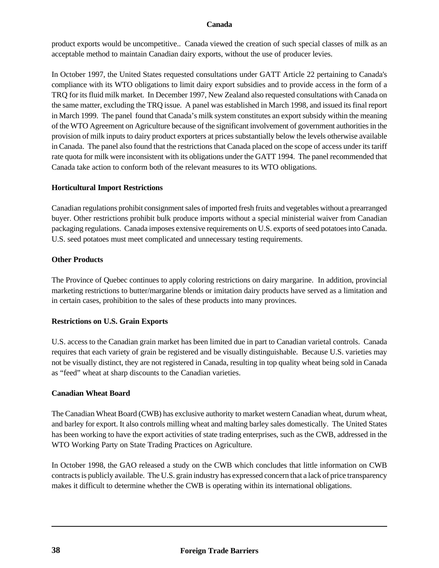product exports would be uncompetitive.. Canada viewed the creation of such special classes of milk as an acceptable method to maintain Canadian dairy exports, without the use of producer levies.

In October 1997, the United States requested consultations under GATT Article 22 pertaining to Canada's compliance with its WTO obligations to limit dairy export subsidies and to provide access in the form of a TRQ for its fluid milk market. In December 1997, New Zealand also requested consultations with Canada on the same matter, excluding the TRQ issue. A panel was established in March 1998, and issued its final report in March 1999. The panel found that Canada's milk system constitutes an export subsidy within the meaning of the WTO Agreement on Agriculture because of the significant involvement of government authorities in the provision of milk inputs to dairy product exporters at prices substantially below the levels otherwise available in Canada. The panel also found that the restrictions that Canada placed on the scope of access under its tariff rate quota for milk were inconsistent with its obligations under the GATT 1994. The panel recommended that Canada take action to conform both of the relevant measures to its WTO obligations.

### **Horticultural Import Restrictions**

Canadian regulations prohibit consignment sales of imported fresh fruits and vegetables without a prearranged buyer. Other restrictions prohibit bulk produce imports without a special ministerial waiver from Canadian packaging regulations. Canada imposes extensive requirements on U.S. exports of seed potatoes into Canada. U.S. seed potatoes must meet complicated and unnecessary testing requirements.

### **Other Products**

The Province of Quebec continues to apply coloring restrictions on dairy margarine. In addition, provincial marketing restrictions to butter/margarine blends or imitation dairy products have served as a limitation and in certain cases, prohibition to the sales of these products into many provinces.

## **Restrictions on U.S. Grain Exports**

U.S. access to the Canadian grain market has been limited due in part to Canadian varietal controls. Canada requires that each variety of grain be registered and be visually distinguishable. Because U.S. varieties may not be visually distinct, they are not registered in Canada, resulting in top quality wheat being sold in Canada as "feed" wheat at sharp discounts to the Canadian varieties.

#### **Canadian Wheat Board**

The Canadian Wheat Board (CWB) has exclusive authority to market western Canadian wheat, durum wheat, and barley for export. It also controls milling wheat and malting barley sales domestically. The United States has been working to have the export activities of state trading enterprises, such as the CWB, addressed in the WTO Working Party on State Trading Practices on Agriculture.

In October 1998, the GAO released a study on the CWB which concludes that little information on CWB contracts is publicly available. The U.S. grain industry has expressed concern that a lack of price transparency makes it difficult to determine whether the CWB is operating within its international obligations.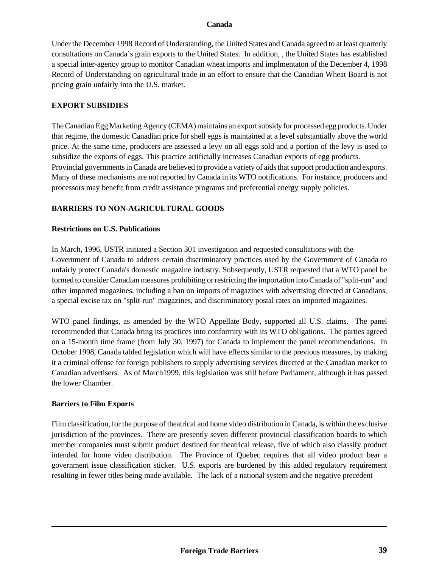Under the December 1998 Record of Understanding, the United States and Canada agreed to at least quarterly consultations on Canada's grain exports to the United States. In addition, , the United States has established a special inter-agency group to monitor Canadian wheat imports and implmentaton of the December 4, 1998 Record of Understanding on agricultural trade in an effort to ensure that the Canadian Wheat Board is not pricing grain unfairly into the U.S. market.

### **EXPORT SUBSIDIES**

The Canadian Egg Marketing Agency (CEMA) maintains an export subsidy for processed egg products. Under that regime, the domestic Canadian price for shell eggs is maintained at a level substantially above the world price. At the same time, producers are assessed a levy on all eggs sold and a portion of the levy is used to subsidize the exports of eggs. This practice artificially increases Canadian exports of egg products. Provincial governments in Canada are believed to provide a variety of aids that support production and exports. Many of these mechanisms are not reported by Canada in its WTO notifications. For instance, producers and processors may benefit from credit assistance programs and preferential energy supply policies.

### **BARRIERS TO NON-AGRICULTURAL GOODS**

### **Restrictions on U.S. Publications**

In March, 1996, USTR initiated a Section 301 investigation and requested consultations with the Government of Canada to address certain discriminatory practices used by the Government of Canada to unfairly protect Canada's domestic magazine industry. Subsequently, USTR requested that a WTO panel be formed to consider Canadian measures prohibiting or restricting the importation into Canada of "split-run" and other imported magazines, including a ban on imports of magazines with advertising directed at Canadians, a special excise tax on "split-run" magazines, and discriminatory postal rates on imported magazines.

WTO panel findings, as amended by the WTO Appellate Body, supported all U.S. claims. The panel recommended that Canada bring its practices into conformity with its WTO obligations. The parties agreed on a 15-month time frame (from July 30, 1997) for Canada to implement the panel recommendations. In October 1998, Canada tabled legislation which will have effects similar to the previous measures, by making it a criminal offense for foreign publishers to supply advertising services directed at the Canadian market to Canadian advertisers. As of March1999, this legislation was still before Parliament, although it has passed the lower Chamber.

#### **Barriers to Film Exports**

Film classification, for the purpose of theatrical and home video distribution in Canada, is within the exclusive jurisdiction of the provinces. There are presently seven different provincial classification boards to which member companies must submit product destined for theatrical release, five of which also classify product intended for home video distribution. The Province of Quebec requires that all video product bear a government issue classification sticker. U.S. exports are burdened by this added regulatory requirement resulting in fewer titles being made available. The lack of a national system and the negative precedent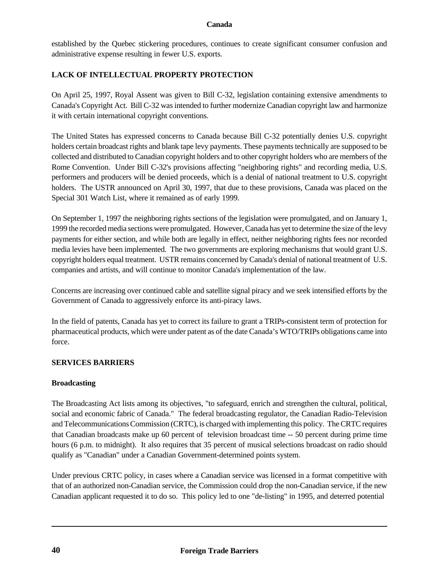established by the Quebec stickering procedures, continues to create significant consumer confusion and administrative expense resulting in fewer U.S. exports.

# **LACK OF INTELLECTUAL PROPERTY PROTECTION**

On April 25, 1997, Royal Assent was given to Bill C-32, legislation containing extensive amendments to Canada's Copyright Act. Bill C-32 was intended to further modernize Canadian copyright law and harmonize it with certain international copyright conventions.

The United States has expressed concerns to Canada because Bill C-32 potentially denies U.S. copyright holders certain broadcast rights and blank tape levy payments. These payments technically are supposed to be collected and distributed to Canadian copyright holders and to other copyright holders who are members of the Rome Convention. Under Bill C-32's provisions affecting "neighboring rights" and recording media, U.S. performers and producers will be denied proceeds, which is a denial of national treatment to U.S. copyright holders. The USTR announced on April 30, 1997, that due to these provisions, Canada was placed on the Special 301 Watch List, where it remained as of early 1999.

On September 1, 1997 the neighboring rights sections of the legislation were promulgated, and on January 1, 1999 the recorded media sections were promulgated. However, Canada has yet to determine the size of the levy payments for either section, and while both are legally in effect, neither neighboring rights fees nor recorded media levies have been implemented. The two governments are exploring mechanisms that would grant U.S. copyright holders equal treatment. USTR remains concerned by Canada's denial of national treatment of U.S. companies and artists, and will continue to monitor Canada's implementation of the law.

Concerns are increasing over continued cable and satellite signal piracy and we seek intensified efforts by the Government of Canada to aggressively enforce its anti-piracy laws.

In the field of patents, Canada has yet to correct its failure to grant a TRIPs-consistent term of protection for pharmaceutical products, which were under patent as of the date Canada's WTO/TRIPs obligations came into force.

## **SERVICES BARRIERS**

## **Broadcasting**

The Broadcasting Act lists among its objectives, "to safeguard, enrich and strengthen the cultural, political, social and economic fabric of Canada." The federal broadcasting regulator, the Canadian Radio-Television and Telecommunications Commission (CRTC), is charged with implementing this policy. The CRTC requires that Canadian broadcasts make up 60 percent of television broadcast time -- 50 percent during prime time hours (6 p.m. to midnight). It also requires that 35 percent of musical selections broadcast on radio should qualify as "Canadian" under a Canadian Government-determined points system.

Under previous CRTC policy, in cases where a Canadian service was licensed in a format competitive with that of an authorized non-Canadian service, the Commission could drop the non-Canadian service, if the new Canadian applicant requested it to do so. This policy led to one "de-listing" in 1995, and deterred potential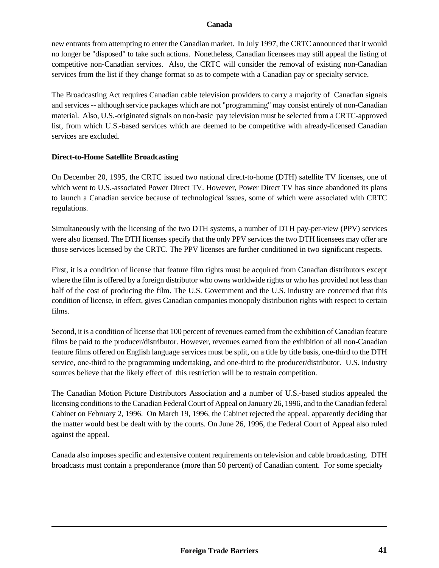new entrants from attempting to enter the Canadian market. In July 1997, the CRTC announced that it would no longer be "disposed" to take such actions. Nonetheless, Canadian licensees may still appeal the listing of competitive non-Canadian services. Also, the CRTC will consider the removal of existing non-Canadian services from the list if they change format so as to compete with a Canadian pay or specialty service.

The Broadcasting Act requires Canadian cable television providers to carry a majority of Canadian signals and services -- although service packages which are not "programming" may consist entirely of non-Canadian material. Also, U.S.-originated signals on non-basic pay television must be selected from a CRTC-approved list, from which U.S.-based services which are deemed to be competitive with already-licensed Canadian services are excluded.

### **Direct-to-Home Satellite Broadcasting**

On December 20, 1995, the CRTC issued two national direct-to-home (DTH) satellite TV licenses, one of which went to U.S.-associated Power Direct TV. However, Power Direct TV has since abandoned its plans to launch a Canadian service because of technological issues, some of which were associated with CRTC regulations.

Simultaneously with the licensing of the two DTH systems, a number of DTH pay-per-view (PPV) services were also licensed. The DTH licenses specify that the only PPV services the two DTH licensees may offer are those services licensed by the CRTC. The PPV licenses are further conditioned in two significant respects.

First, it is a condition of license that feature film rights must be acquired from Canadian distributors except where the film is offered by a foreign distributor who owns worldwide rights or who has provided not less than half of the cost of producing the film. The U.S. Government and the U.S. industry are concerned that this condition of license, in effect, gives Canadian companies monopoly distribution rights with respect to certain films.

Second, it is a condition of license that 100 percent of revenues earned from the exhibition of Canadian feature films be paid to the producer/distributor. However, revenues earned from the exhibition of all non-Canadian feature films offered on English language services must be split, on a title by title basis, one-third to the DTH service, one-third to the programming undertaking, and one-third to the producer/distributor. U.S. industry sources believe that the likely effect of this restriction will be to restrain competition.

The Canadian Motion Picture Distributors Association and a number of U.S.-based studios appealed the licensing conditions to the Canadian Federal Court of Appeal on January 26, 1996, and to the Canadian federal Cabinet on February 2, 1996. On March 19, 1996, the Cabinet rejected the appeal, apparently deciding that the matter would best be dealt with by the courts. On June 26, 1996, the Federal Court of Appeal also ruled against the appeal.

Canada also imposes specific and extensive content requirements on television and cable broadcasting. DTH broadcasts must contain a preponderance (more than 50 percent) of Canadian content. For some specialty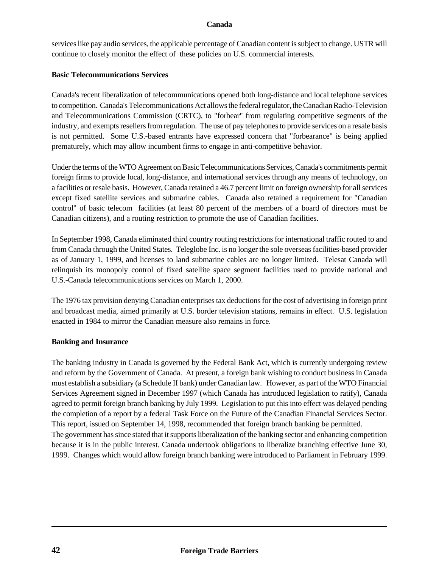services like pay audio services, the applicable percentage of Canadian content is subject to change. USTR will continue to closely monitor the effect of these policies on U.S. commercial interests.

#### **Basic Telecommunications Services**

Canada's recent liberalization of telecommunications opened both long-distance and local telephone services to competition. Canada's Telecommunications Act allows the federal regulator, the Canadian Radio-Television and Telecommunications Commission (CRTC), to "forbear" from regulating competitive segments of the industry, and exempts resellers from regulation. The use of pay telephones to provide services on a resale basis is not permitted. Some U.S.-based entrants have expressed concern that "forbearance" is being applied prematurely, which may allow incumbent firms to engage in anti-competitive behavior.

Under the terms of the WTO Agreement on Basic Telecommunications Services, Canada's commitments permit foreign firms to provide local, long-distance, and international services through any means of technology, on a facilities or resale basis. However, Canada retained a 46.7 percent limit on foreign ownership for all services except fixed satellite services and submarine cables. Canada also retained a requirement for "Canadian control" of basic telecom facilities (at least 80 percent of the members of a board of directors must be Canadian citizens), and a routing restriction to promote the use of Canadian facilities.

In September 1998, Canada eliminated third country routing restrictions for international traffic routed to and from Canada through the United States. Teleglobe Inc. is no longer the sole overseas facilities-based provider as of January 1, 1999, and licenses to land submarine cables are no longer limited. Telesat Canada will relinquish its monopoly control of fixed satellite space segment facilities used to provide national and U.S.-Canada telecommunications services on March 1, 2000.

The 1976 tax provision denying Canadian enterprises tax deductions for the cost of advertising in foreign print and broadcast media, aimed primarily at U.S. border television stations, remains in effect. U.S. legislation enacted in 1984 to mirror the Canadian measure also remains in force.

#### **Banking and Insurance**

The banking industry in Canada is governed by the Federal Bank Act, which is currently undergoing review and reform by the Government of Canada. At present, a foreign bank wishing to conduct business in Canada must establish a subsidiary (a Schedule II bank) under Canadian law. However, as part of the WTO Financial Services Agreement signed in December 1997 (which Canada has introduced legislation to ratify), Canada agreed to permit foreign branch banking by July 1999. Legislation to put this into effect was delayed pending the completion of a report by a federal Task Force on the Future of the Canadian Financial Services Sector. This report, issued on September 14, 1998, recommended that foreign branch banking be permitted. The government has since stated that it supports liberalization of the banking sector and enhancing competition because it is in the public interest. Canada undertook obligations to liberalize branching effective June 30, 1999. Changes which would allow foreign branch banking were introduced to Parliament in February 1999.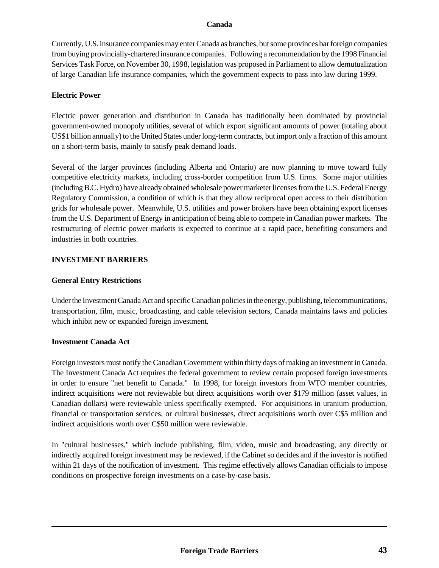Currently, U.S. insurance companies may enter Canada as branches, but some provinces bar foreign companies from buying provincially-chartered insurance companies. Following a recommendation by the 1998 Financial Services Task Force, on November 30, 1998, legislation was proposed in Parliament to allow demutualization of large Canadian life insurance companies, which the government expects to pass into law during 1999.

### **Electric Power**

Electric power generation and distribution in Canada has traditionally been dominated by provincial government-owned monopoly utilities, several of which export significant amounts of power (totaling about US\$1 billion annually) to the United States under long-term contracts, but import only a fraction of this amount on a short-term basis, mainly to satisfy peak demand loads.

Several of the larger provinces (including Alberta and Ontario) are now planning to move toward fully competitive electricity markets, including cross-border competition from U.S. firms. Some major utilities (including B.C. Hydro) have already obtained wholesale power marketer licenses from the U.S. Federal Energy Regulatory Commission, a condition of which is that they allow reciprocal open access to their distribution grids for wholesale power. Meanwhile, U.S. utilities and power brokers have been obtaining export licenses from the U.S. Department of Energy in anticipation of being able to compete in Canadian power markets. The restructuring of electric power markets is expected to continue at a rapid pace, benefiting consumers and industries in both countries.

### **INVESTMENT BARRIERS**

#### **General Entry Restrictions**

Under the Investment Canada Act and specific Canadian policies in the energy, publishing, telecommunications, transportation, film, music, broadcasting, and cable television sectors, Canada maintains laws and policies which inhibit new or expanded foreign investment.

#### **Investment Canada Act**

Foreign investors must notify the Canadian Government within thirty days of making an investment in Canada. The Investment Canada Act requires the federal government to review certain proposed foreign investments in order to ensure "net benefit to Canada." In 1998, for foreign investors from WTO member countries, indirect acquisitions were not reviewable but direct acquisitions worth over \$179 million (asset values, in Canadian dollars) were reviewable unless specifically exempted. For acquisitions in uranium production, financial or transportation services, or cultural businesses, direct acquisitions worth over C\$5 million and indirect acquisitions worth over C\$50 million were reviewable.

In "cultural businesses," which include publishing, film, video, music and broadcasting, any directly or indirectly acquired foreign investment may be reviewed, if the Cabinet so decides and if the investor is notified within 21 days of the notification of investment. This regime effectively allows Canadian officials to impose conditions on prospective foreign investments on a case-by-case basis.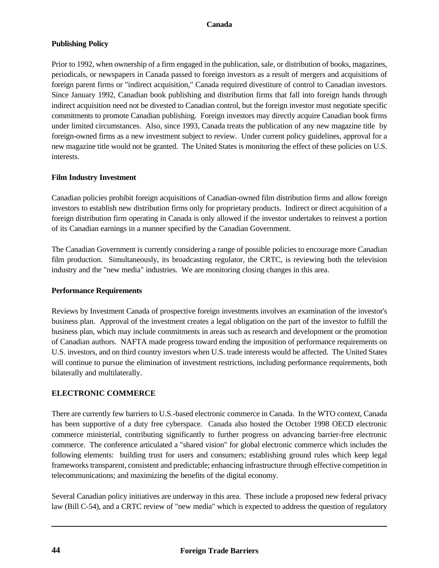## **Publishing Policy**

Prior to 1992, when ownership of a firm engaged in the publication, sale, or distribution of books, magazines, periodicals, or newspapers in Canada passed to foreign investors as a result of mergers and acquisitions of foreign parent firms or "indirect acquisition," Canada required divestiture of control to Canadian investors. Since January 1992, Canadian book publishing and distribution firms that fall into foreign hands through indirect acquisition need not be divested to Canadian control, but the foreign investor must negotiate specific commitments to promote Canadian publishing. Foreign investors may directly acquire Canadian book firms under limited circumstances. Also, since 1993, Canada treats the publication of any new magazine title by foreign-owned firms as a new investment subject to review. Under current policy guidelines, approval for a new magazine title would not be granted. The United States is monitoring the effect of these policies on U.S. interests.

## **Film Industry Investment**

Canadian policies prohibit foreign acquisitions of Canadian-owned film distribution firms and allow foreign investors to establish new distribution firms only for proprietary products. Indirect or direct acquisition of a foreign distribution firm operating in Canada is only allowed if the investor undertakes to reinvest a portion of its Canadian earnings in a manner specified by the Canadian Government.

The Canadian Government is currently considering a range of possible policies to encourage more Canadian film production. Simultaneously, its broadcasting regulator, the CRTC, is reviewing both the television industry and the "new media" industries. We are monitoring closing changes in this area.

## **Performance Requirements**

Reviews by Investment Canada of prospective foreign investments involves an examination of the investor's business plan. Approval of the investment creates a legal obligation on the part of the investor to fulfill the business plan, which may include commitments in areas such as research and development or the promotion of Canadian authors. NAFTA made progress toward ending the imposition of performance requirements on U.S. investors, and on third country investors when U.S. trade interests would be affected. The United States will continue to pursue the elimination of investment restrictions, including performance requirements, both bilaterally and multilaterally.

## **ELECTRONIC COMMERCE**

There are currently few barriers to U.S.-based electronic commerce in Canada. In the WTO context, Canada has been supportive of a duty free cyberspace. Canada also hosted the October 1998 OECD electronic commerce ministerial, contributing significantly to further progress on advancing barrier-free electronic commerce. The conference articulated a "shared vision" for global electronic commerce which includes the following elements: building trust for users and consumers; establishing ground rules which keep legal frameworks transparent, consistent and predictable; enhancing infrastructure through effective competition in telecommunications; and maximizing the benefits of the digital economy.

Several Canadian policy initiatives are underway in this area. These include a proposed new federal privacy law (Bill C-54), and a CRTC review of "new media" which is expected to address the question of regulatory